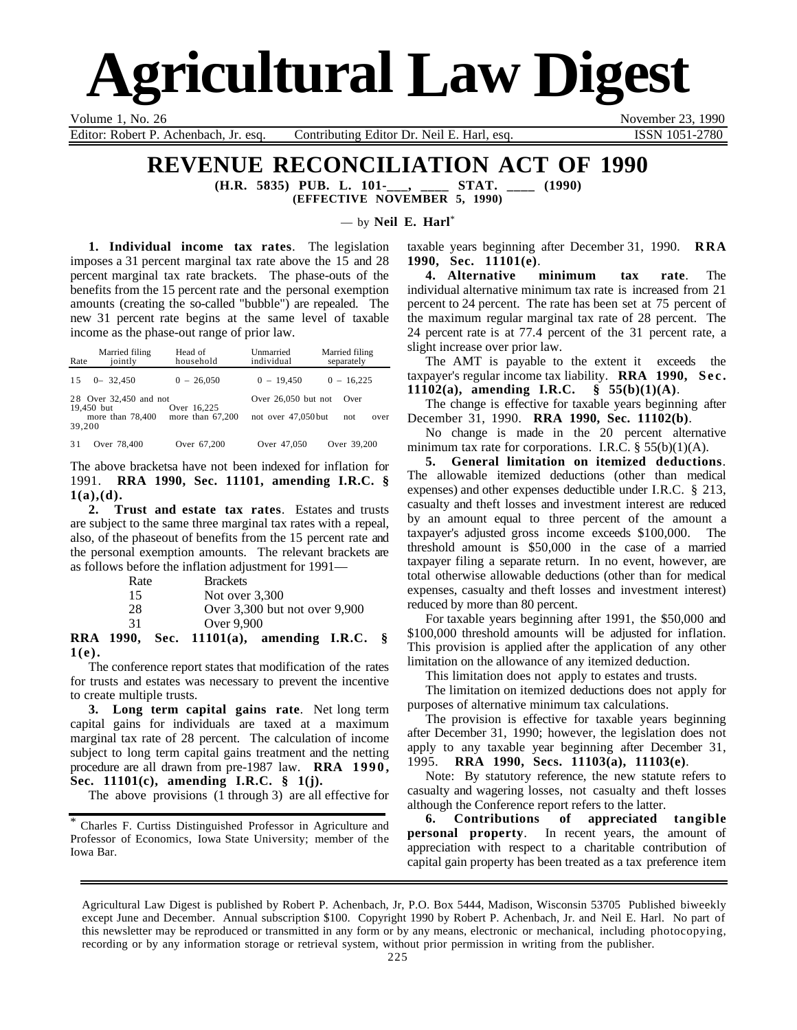# **Agricultural Law Digest**

Editor: Robert P. Achenbach, Jr. esq. Contributing Editor Dr. Neil E. Harl, esq. ISSN 1051-2780

Volume 1, No. 26 November 23, 1990

### **REVENUE RECONCILIATION ACT OF 1990**

**(H.R. 5835) PUB. L. 101-\_\_\_, \_\_\_\_ STAT. \_\_\_\_ (1990) (EFFECTIVE NOVEMBER 5, 1990)**

— by **Neil E. Harl**\*

**1. Individual income tax rates**. The legislation imposes a 31 percent marginal tax rate above the 15 and 28 percent marginal tax rate brackets. The phase-outs of the benefits from the 15 percent rate and the personal exemption amounts (creating the so-called "bubble") are repealed. The new 31 percent rate begins at the same level of taxable income as the phase-out range of prior law.

| Rate       | Married filing<br>jointly | Head of<br>household | Unmarried<br>individual       | Married filing<br>separately |  |
|------------|---------------------------|----------------------|-------------------------------|------------------------------|--|
| 1.5        | $0 - 32.450$              | $0 - 26,050$         | $0 - 19.450$                  | $0 - 16.225$                 |  |
| 19,450 but | 28 Over 32,450 and not    | Over 16.225          | Over $26.050$ but not<br>Over |                              |  |
| 39,200     | more than 78,400          | more than $67,200$   | not over 47,050 but           | not<br>over                  |  |
| 31         | Over 78,400               | Over 67.200          | Over 47,050                   | Over 39,200                  |  |

The above bracketsa have not been indexed for inflation for 1991. **RRA 1990, Sec. 11101, amending I.R.C. § 1(a),(d).**

**2. Trust and estate tax rates**. Estates and trusts are subject to the same three marginal tax rates with a repeal, also, of the phaseout of benefits from the 15 percent rate and the personal exemption amounts. The relevant brackets are as follows before the inflation adjustment for 1991—

| Rate | <b>Brackets</b>                   |  |
|------|-----------------------------------|--|
| 15   | Not over $3,300$                  |  |
| 28   | Over $3,300$ but not over $9,900$ |  |
| 31   | Over 9.900                        |  |
| .    |                                   |  |

**RRA 1990, Sec. 11101(a), amending I.R.C. § 1(e).**

The conference report states that modification of the rates for trusts and estates was necessary to prevent the incentive to create multiple trusts.

**3. Long term capital gains rate**. Net long term capital gains for individuals are taxed at a maximum marginal tax rate of 28 percent. The calculation of income subject to long term capital gains treatment and the netting procedure are all drawn from pre-1987 law. **RRA 1990, Sec. 11101(c), amending I.R.C. § 1(j).**

The above provisions (1 through 3) are all effective for

taxable years beginning after December 31, 1990. **RRA 1990, Sec. 11101(e)**.

**4. Alternative minimum tax rate**. The individual alternative minimum tax rate is increased from 21 percent to 24 percent. The rate has been set at 75 percent of the maximum regular marginal tax rate of 28 percent. The 24 percent rate is at 77.4 percent of the 31 percent rate, a slight increase over prior law.

The AMT is payable to the extent it exceeds the taxpayer's regular income tax liability. **RRA 1990, Sec. 11102(a), amending I.R.C. § 55(b)(1)(A)**.

The change is effective for taxable years beginning after December 31, 1990. **RRA 1990, Sec. 11102(b)**.

No change is made in the 20 percent alternative minimum tax rate for corporations. I.R.C.  $\S$  55(b)(1)(A).

**5. General limitation on itemized deductions**. The allowable itemized deductions (other than medical expenses) and other expenses deductible under I.R.C. § 213, casualty and theft losses and investment interest are reduced by an amount equal to three percent of the amount a taxpayer's adjusted gross income exceeds \$100,000. The threshold amount is \$50,000 in the case of a married taxpayer filing a separate return. In no event, however, are total otherwise allowable deductions (other than for medical expenses, casualty and theft losses and investment interest) reduced by more than 80 percent.

For taxable years beginning after 1991, the \$50,000 and \$100,000 threshold amounts will be adjusted for inflation. This provision is applied after the application of any other limitation on the allowance of any itemized deduction.

This limitation does not apply to estates and trusts.

The limitation on itemized deductions does not apply for purposes of alternative minimum tax calculations.

The provision is effective for taxable years beginning after December 31, 1990; however, the legislation does not apply to any taxable year beginning after December 31, 1995. **RRA 1990, Secs. 11103(a), 11103(e)**.

Note: By statutory reference, the new statute refers to casualty and wagering losses, not casualty and theft losses although the Conference report refers to the latter.

**6. Contributions of appreciated tangible personal property**. In recent years, the amount of appreciation with respect to a charitable contribution of capital gain property has been treated as a tax preference item

<sup>\*</sup> Charles F. Curtiss Distinguished Professor in Agriculture and Professor of Economics, Iowa State University; member of the Iowa Bar.

Agricultural Law Digest is published by Robert P. Achenbach, Jr, P.O. Box 5444, Madison, Wisconsin 53705 Published biweekly except June and December. Annual subscription \$100. Copyright 1990 by Robert P. Achenbach, Jr. and Neil E. Harl. No part of this newsletter may be reproduced or transmitted in any form or by any means, electronic or mechanical, including photocopying, recording or by any information storage or retrieval system, without prior permission in writing from the publisher.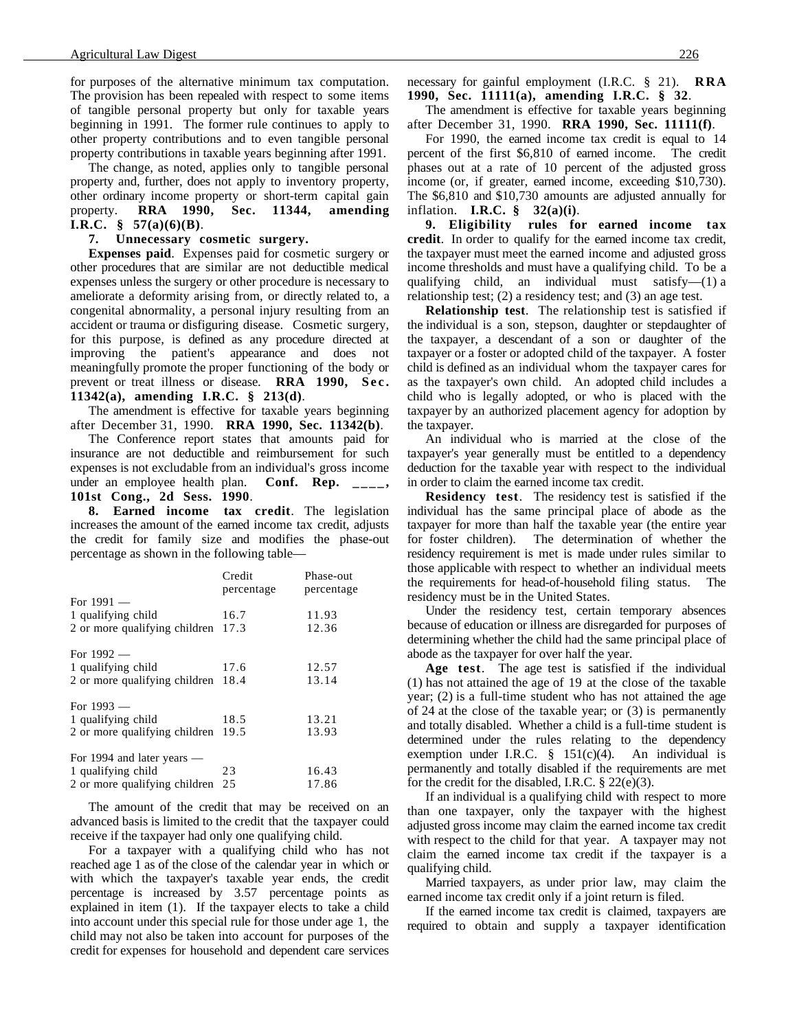for purposes of the alternative minimum tax computation. The provision has been repealed with respect to some items of tangible personal property but only for taxable years beginning in 1991. The former rule continues to apply to other property contributions and to even tangible personal property contributions in taxable years beginning after 1991.

The change, as noted, applies only to tangible personal property and, further, does not apply to inventory property, other ordinary income property or short-term capital gain property. **RRA 1990, Sec. 11344, amending I.R.C. § 57(a)(6)(B)**.

**7. Unnecessary cosmetic surgery.**

**Expenses paid**. Expenses paid for cosmetic surgery or other procedures that are similar are not deductible medical expenses unless the surgery or other procedure is necessary to ameliorate a deformity arising from, or directly related to, a congenital abnormality, a personal injury resulting from an accident or trauma or disfiguring disease. Cosmetic surgery, for this purpose, is defined as any procedure directed at improving the patient's appearance and does not meaningfully promote the proper functioning of the body or prevent or treat illness or disease. **RRA 1990, Sec. 11342(a), amending I.R.C. § 213(d)**.

The amendment is effective for taxable years beginning after December 31, 1990. **RRA 1990, Sec. 11342(b)**.

The Conference report states that amounts paid for insurance are not deductible and reimbursement for such expenses is not excludable from an individual's gross income under an employee health plan. **Conf. Rep. \_\_\_\_, 101st Cong., 2d Sess. 1990**.

**8. Earned income tax credit**. The legislation increases the amount of the earned income tax credit, adjusts the credit for family size and modifies the phase-out percentage as shown in the following table—

|                                    | Credit     | Phase-out  |
|------------------------------------|------------|------------|
|                                    | percentage | percentage |
| For $1991$ —                       |            |            |
| 1 qualifying child                 | 16.7       | 11.93      |
| 2 or more qualifying children 17.3 |            | 12.36      |
| For $1992$ —                       |            |            |
| 1 qualifying child                 | 17.6       | 12.57      |
| 2 or more qualifying children 18.4 |            | 13.14      |
| For $1993 -$                       |            |            |
| 1 qualifying child                 | 18.5       | 13.21      |
| 2 or more qualifying children 19.5 |            | 13.93      |
| For 1994 and later years $-$       |            |            |
| 1 qualifying child                 | 23         | 16.43      |
| 2 or more qualifying children 25   |            | 17.86      |

The amount of the credit that may be received on an advanced basis is limited to the credit that the taxpayer could receive if the taxpayer had only one qualifying child.

For a taxpayer with a qualifying child who has not reached age 1 as of the close of the calendar year in which or with which the taxpayer's taxable year ends, the credit percentage is increased by 3.57 percentage points as explained in item (1). If the taxpayer elects to take a child into account under this special rule for those under age 1, the child may not also be taken into account for purposes of the credit for expenses for household and dependent care services

necessary for gainful employment (I.R.C. § 21). **RRA 1990, Sec. 11111(a), amending I.R.C. § 32**.

The amendment is effective for taxable years beginning after December 31, 1990. **RRA 1990, Sec. 11111(f)**.

For 1990, the earned income tax credit is equal to 14 percent of the first \$6,810 of earned income. The credit phases out at a rate of 10 percent of the adjusted gross income (or, if greater, earned income, exceeding \$10,730). The \$6,810 and \$10,730 amounts are adjusted annually for inflation. **I.R.C. § 32(a)(i)**.

**9. Eligibility rules for earned income tax credit**. In order to qualify for the earned income tax credit, the taxpayer must meet the earned income and adjusted gross income thresholds and must have a qualifying child. To be a qualifying child, an individual must satisfy—(1) a relationship test; (2) a residency test; and (3) an age test.

**Relationship test**. The relationship test is satisfied if the individual is a son, stepson, daughter or stepdaughter of the taxpayer, a descendant of a son or daughter of the taxpayer or a foster or adopted child of the taxpayer. A foster child is defined as an individual whom the taxpayer cares for as the taxpayer's own child. An adopted child includes a child who is legally adopted, or who is placed with the taxpayer by an authorized placement agency for adoption by the taxpayer.

An individual who is married at the close of the taxpayer's year generally must be entitled to a dependency deduction for the taxable year with respect to the individual in order to claim the earned income tax credit.

**Residency test**. The residency test is satisfied if the individual has the same principal place of abode as the taxpayer for more than half the taxable year (the entire year for foster children). The determination of whether the residency requirement is met is made under rules similar to those applicable with respect to whether an individual meets the requirements for head-of-household filing status. The residency must be in the United States.

Under the residency test, certain temporary absences because of education or illness are disregarded for purposes of determining whether the child had the same principal place of abode as the taxpayer for over half the year.

**Age test**. The age test is satisfied if the individual (1) has not attained the age of 19 at the close of the taxable year; (2) is a full-time student who has not attained the age of 24 at the close of the taxable year; or (3) is permanently and totally disabled. Whether a child is a full-time student is determined under the rules relating to the dependency exemption under I.R.C.  $\frac{8}{9}$  151(c)(4). An individual is permanently and totally disabled if the requirements are met for the credit for the disabled, I.R.C.  $\S$  22(e)(3).

If an individual is a qualifying child with respect to more than one taxpayer, only the taxpayer with the highest adjusted gross income may claim the earned income tax credit with respect to the child for that year. A taxpayer may not claim the earned income tax credit if the taxpayer is a qualifying child.

Married taxpayers, as under prior law, may claim the earned income tax credit only if a joint return is filed.

If the earned income tax credit is claimed, taxpayers are required to obtain and supply a taxpayer identification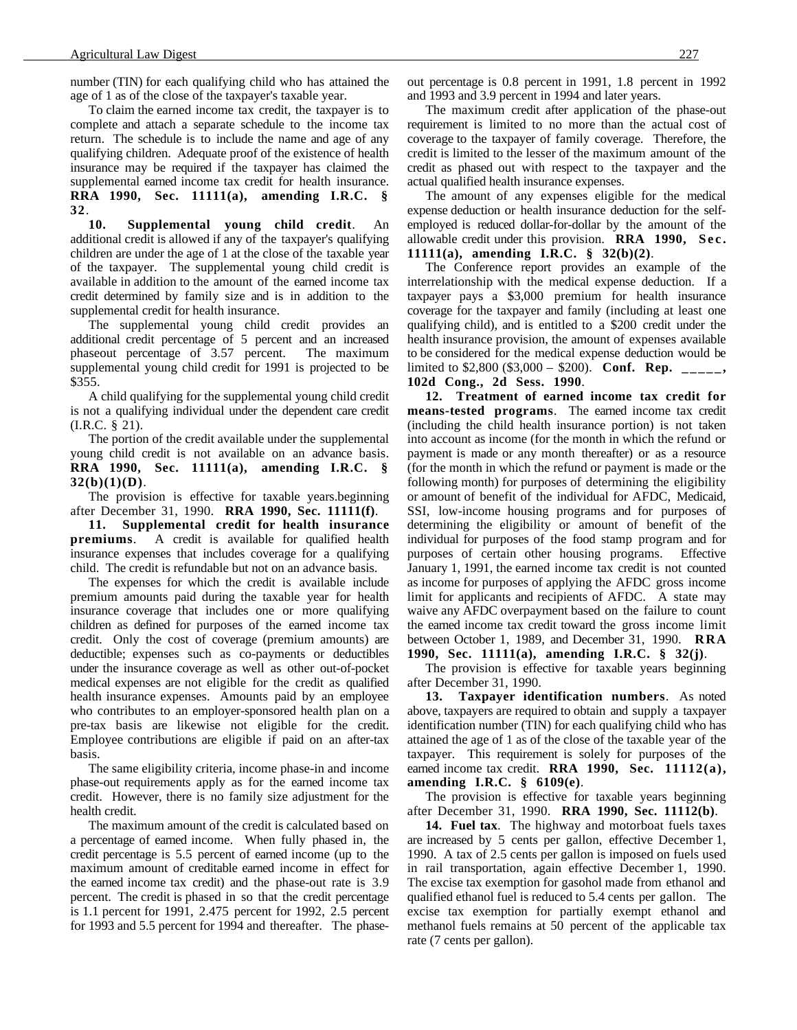number (TIN) for each qualifying child who has attained the age of 1 as of the close of the taxpayer's taxable year.

To claim the earned income tax credit, the taxpayer is to complete and attach a separate schedule to the income tax return. The schedule is to include the name and age of any qualifying children. Adequate proof of the existence of health insurance may be required if the taxpayer has claimed the supplemental earned income tax credit for health insurance. **RRA 1990, Sec. 11111(a), amending I.R.C. § 32**.

**10. Supplemental young child credit**. An additional credit is allowed if any of the taxpayer's qualifying children are under the age of 1 at the close of the taxable year of the taxpayer. The supplemental young child credit is available in addition to the amount of the earned income tax credit determined by family size and is in addition to the supplemental credit for health insurance.

The supplemental young child credit provides an additional credit percentage of 5 percent and an increased phaseout percentage of 3.57 percent. The maximum supplemental young child credit for 1991 is projected to be \$355.

A child qualifying for the supplemental young child credit is not a qualifying individual under the dependent care credit (I.R.C. § 21).

The portion of the credit available under the supplemental young child credit is not available on an advance basis. **RRA 1990, Sec. 11111(a), amending I.R.C. § 32(b)(1)(D)**.

The provision is effective for taxable years.beginning after December 31, 1990. **RRA 1990, Sec. 11111(f)**.

**11. Supplemental credit for health insurance premiums**. A credit is available for qualified health insurance expenses that includes coverage for a qualifying child. The credit is refundable but not on an advance basis.

The expenses for which the credit is available include premium amounts paid during the taxable year for health insurance coverage that includes one or more qualifying children as defined for purposes of the earned income tax credit. Only the cost of coverage (premium amounts) are deductible; expenses such as co-payments or deductibles under the insurance coverage as well as other out-of-pocket medical expenses are not eligible for the credit as qualified health insurance expenses. Amounts paid by an employee who contributes to an employer-sponsored health plan on a pre-tax basis are likewise not eligible for the credit. Employee contributions are eligible if paid on an after-tax basis.

The same eligibility criteria, income phase-in and income phase-out requirements apply as for the earned income tax credit. However, there is no family size adjustment for the health credit.

The maximum amount of the credit is calculated based on a percentage of earned income. When fully phased in, the credit percentage is 5.5 percent of earned income (up to the maximum amount of creditable earned income in effect for the earned income tax credit) and the phase-out rate is 3.9 percent. The credit is phased in so that the credit percentage is 1.1 percent for 1991, 2.475 percent for 1992, 2.5 percent for 1993 and 5.5 percent for 1994 and thereafter. The phaseout percentage is 0.8 percent in 1991, 1.8 percent in 1992 and 1993 and 3.9 percent in 1994 and later years.

The maximum credit after application of the phase-out requirement is limited to no more than the actual cost of coverage to the taxpayer of family coverage. Therefore, the credit is limited to the lesser of the maximum amount of the credit as phased out with respect to the taxpayer and the actual qualified health insurance expenses.

The amount of any expenses eligible for the medical expense deduction or health insurance deduction for the selfemployed is reduced dollar-for-dollar by the amount of the allowable credit under this provision. **RRA 1990, Sec. 11111(a), amending I.R.C. § 32(b)(2)**.

The Conference report provides an example of the interrelationship with the medical expense deduction. If a taxpayer pays a \$3,000 premium for health insurance coverage for the taxpayer and family (including at least one qualifying child), and is entitled to a \$200 credit under the health insurance provision, the amount of expenses available to be considered for the medical expense deduction would be limited to \$2,800 (\$3,000 – \$200). **Conf. Rep. \_\_\_\_\_, 102d Cong., 2d Sess. 1990**.

**12. Treatment of earned income tax credit for means-tested programs**. The earned income tax credit (including the child health insurance portion) is not taken into account as income (for the month in which the refund or payment is made or any month thereafter) or as a resource (for the month in which the refund or payment is made or the following month) for purposes of determining the eligibility or amount of benefit of the individual for AFDC, Medicaid, SSI, low-income housing programs and for purposes of determining the eligibility or amount of benefit of the individual for purposes of the food stamp program and for purposes of certain other housing programs. Effective January 1, 1991, the earned income tax credit is not counted as income for purposes of applying the AFDC gross income limit for applicants and recipients of AFDC. A state may waive any AFDC overpayment based on the failure to count the earned income tax credit toward the gross income limit between October 1, 1989, and December 31, 1990. **RRA 1990, Sec. 11111(a), amending I.R.C. § 32(j)**.

The provision is effective for taxable years beginning after December 31, 1990.

**13. Taxpayer identification numbers**. As noted above, taxpayers are required to obtain and supply a taxpayer identification number (TIN) for each qualifying child who has attained the age of 1 as of the close of the taxable year of the taxpayer. This requirement is solely for purposes of the earned income tax credit. **RRA 1990, Sec. 11112(a), amending I.R.C. § 6109(e)**.

The provision is effective for taxable years beginning after December 31, 1990. **RRA 1990, Sec. 11112(b)**.

**14. Fuel tax**. The highway and motorboat fuels taxes are increased by 5 cents per gallon, effective December 1, 1990. A tax of 2.5 cents per gallon is imposed on fuels used in rail transportation, again effective December 1, 1990. The excise tax exemption for gasohol made from ethanol and qualified ethanol fuel is reduced to 5.4 cents per gallon. The excise tax exemption for partially exempt ethanol and methanol fuels remains at 50 percent of the applicable tax rate (7 cents per gallon).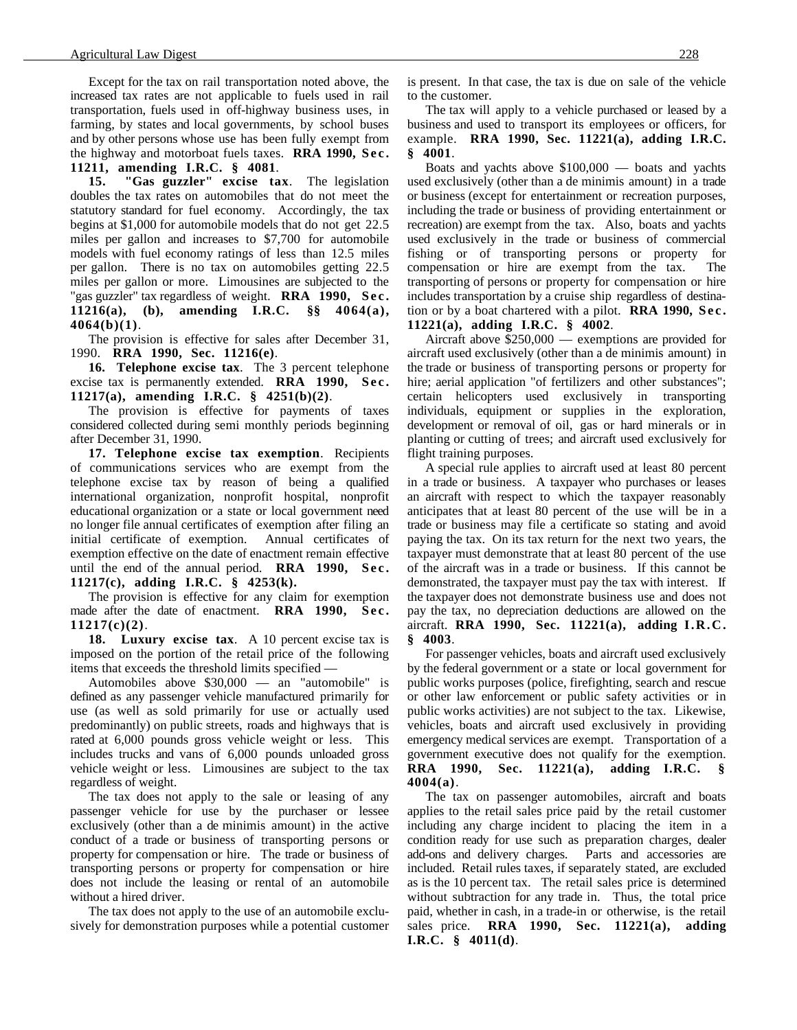Except for the tax on rail transportation noted above, the increased tax rates are not applicable to fuels used in rail transportation, fuels used in off-highway business uses, in farming, by states and local governments, by school buses and by other persons whose use has been fully exempt from the highway and motorboat fuels taxes. **RRA 1990, Sec. 11211, amending I.R.C. § 4081**.

**15. "Gas guzzler" excise tax**. The legislation doubles the tax rates on automobiles that do not meet the statutory standard for fuel economy. Accordingly, the tax begins at \$1,000 for automobile models that do not get 22.5 miles per gallon and increases to \$7,700 for automobile models with fuel economy ratings of less than 12.5 miles per gallon. There is no tax on automobiles getting 22.5 miles per gallon or more. Limousines are subjected to the "gas guzzler" tax regardless of weight. **RRA 1990, Sec. 11216(a), (b), amending I.R.C. §§ 4064(a), 4064(b)(1)**.

The provision is effective for sales after December 31, 1990. **RRA 1990, Sec. 11216(e)**.

**16. Telephone excise tax**. The 3 percent telephone excise tax is permanently extended. **RRA 1990, Sec. 11217(a), amending I.R.C. § 4251(b)(2)**.

The provision is effective for payments of taxes considered collected during semi monthly periods beginning after December 31, 1990.

**17. Telephone excise tax exemption**. Recipients of communications services who are exempt from the telephone excise tax by reason of being a qualified international organization, nonprofit hospital, nonprofit educational organization or a state or local government need no longer file annual certificates of exemption after filing an initial certificate of exemption. Annual certificates of exemption effective on the date of enactment remain effective until the end of the annual period. **RRA 1990, Sec. 11217(c), adding I.R.C. § 4253(k).**

The provision is effective for any claim for exemption made after the date of enactment. **RRA 1990, Sec. 11217(c)(2)**.

**18. Luxury excise tax**. A 10 percent excise tax is imposed on the portion of the retail price of the following items that exceeds the threshold limits specified —

Automobiles above \$30,000 — an "automobile" is defined as any passenger vehicle manufactured primarily for use (as well as sold primarily for use or actually used predominantly) on public streets, roads and highways that is rated at 6,000 pounds gross vehicle weight or less. This includes trucks and vans of 6,000 pounds unloaded gross vehicle weight or less. Limousines are subject to the tax regardless of weight.

The tax does not apply to the sale or leasing of any passenger vehicle for use by the purchaser or lessee exclusively (other than a de minimis amount) in the active conduct of a trade or business of transporting persons or property for compensation or hire. The trade or business of transporting persons or property for compensation or hire does not include the leasing or rental of an automobile without a hired driver.

The tax does not apply to the use of an automobile exclusively for demonstration purposes while a potential customer is present. In that case, the tax is due on sale of the vehicle to the customer.

The tax will apply to a vehicle purchased or leased by a business and used to transport its employees or officers, for example. **RRA 1990, Sec. 11221(a), adding I.R.C. § 4001**.

Boats and yachts above \$100,000 — boats and yachts used exclusively (other than a de minimis amount) in a trade or business (except for entertainment or recreation purposes, including the trade or business of providing entertainment or recreation) are exempt from the tax. Also, boats and yachts used exclusively in the trade or business of commercial fishing or of transporting persons or property for compensation or hire are exempt from the tax. The transporting of persons or property for compensation or hire includes transportation by a cruise ship regardless of destination or by a boat chartered with a pilot. **RRA 1990, Sec. 11221(a), adding I.R.C. § 4002**.

Aircraft above \$250,000 — exemptions are provided for aircraft used exclusively (other than a de minimis amount) in the trade or business of transporting persons or property for hire; aerial application "of fertilizers and other substances"; certain helicopters used exclusively in transporting individuals, equipment or supplies in the exploration, development or removal of oil, gas or hard minerals or in planting or cutting of trees; and aircraft used exclusively for flight training purposes.

A special rule applies to aircraft used at least 80 percent in a trade or business. A taxpayer who purchases or leases an aircraft with respect to which the taxpayer reasonably anticipates that at least 80 percent of the use will be in a trade or business may file a certificate so stating and avoid paying the tax. On its tax return for the next two years, the taxpayer must demonstrate that at least 80 percent of the use of the aircraft was in a trade or business. If this cannot be demonstrated, the taxpayer must pay the tax with interest. If the taxpayer does not demonstrate business use and does not pay the tax, no depreciation deductions are allowed on the aircraft. **RRA 1990, Sec. 11221(a), adding I.R.C. § 4003**.

For passenger vehicles, boats and aircraft used exclusively by the federal government or a state or local government for public works purposes (police, firefighting, search and rescue or other law enforcement or public safety activities or in public works activities) are not subject to the tax. Likewise, vehicles, boats and aircraft used exclusively in providing emergency medical services are exempt. Transportation of a government executive does not qualify for the exemption. **RRA 1990, Sec. 11221(a), adding I.R.C. § 4004(a)**.

The tax on passenger automobiles, aircraft and boats applies to the retail sales price paid by the retail customer including any charge incident to placing the item in a condition ready for use such as preparation charges, dealer add-ons and delivery charges. Parts and accessories are included. Retail rules taxes, if separately stated, are excluded as is the 10 percent tax. The retail sales price is determined without subtraction for any trade in. Thus, the total price paid, whether in cash, in a trade-in or otherwise, is the retail sales price. **RRA 1990, Sec. 11221(a), adding I.R.C. § 4011(d)**.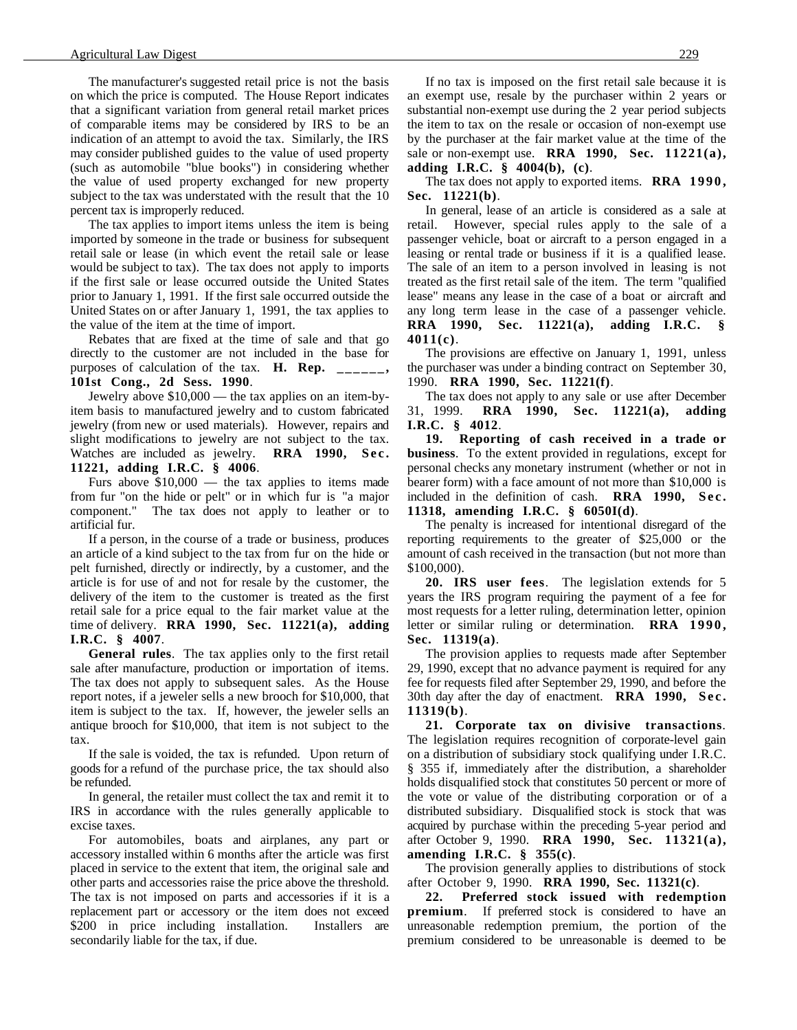The manufacturer's suggested retail price is not the basis on which the price is computed. The House Report indicates that a significant variation from general retail market prices of comparable items may be considered by IRS to be an indication of an attempt to avoid the tax. Similarly, the IRS may consider published guides to the value of used property (such as automobile "blue books") in considering whether the value of used property exchanged for new property subject to the tax was understated with the result that the 10 percent tax is improperly reduced.

The tax applies to import items unless the item is being imported by someone in the trade or business for subsequent retail sale or lease (in which event the retail sale or lease would be subject to tax). The tax does not apply to imports if the first sale or lease occurred outside the United States prior to January 1, 1991. If the first sale occurred outside the United States on or after January 1, 1991, the tax applies to the value of the item at the time of import.

Rebates that are fixed at the time of sale and that go directly to the customer are not included in the base for purposes of calculation of the tax. **H. Rep. \_\_\_\_\_\_, 101st Cong., 2d Sess. 1990**.

Jewelry above \$10,000 — the tax applies on an item-byitem basis to manufactured jewelry and to custom fabricated jewelry (from new or used materials). However, repairs and slight modifications to jewelry are not subject to the tax. Watches are included as jewelry. **RRA 1990, Sec. 11221, adding I.R.C. § 4006**.

Furs above \$10,000 — the tax applies to items made from fur "on the hide or pelt" or in which fur is "a major component." The tax does not apply to leather or to artificial fur.

If a person, in the course of a trade or business, produces an article of a kind subject to the tax from fur on the hide or pelt furnished, directly or indirectly, by a customer, and the article is for use of and not for resale by the customer, the delivery of the item to the customer is treated as the first retail sale for a price equal to the fair market value at the time of delivery. **RRA 1990, Sec. 11221(a), adding I.R.C. § 4007**.

**General rules**. The tax applies only to the first retail sale after manufacture, production or importation of items. The tax does not apply to subsequent sales. As the House report notes, if a jeweler sells a new brooch for \$10,000, that item is subject to the tax. If, however, the jeweler sells an antique brooch for \$10,000, that item is not subject to the tax.

If the sale is voided, the tax is refunded. Upon return of goods for a refund of the purchase price, the tax should also be refunded.

In general, the retailer must collect the tax and remit it to IRS in accordance with the rules generally applicable to excise taxes.

For automobiles, boats and airplanes, any part or accessory installed within 6 months after the article was first placed in service to the extent that item, the original sale and other parts and accessories raise the price above the threshold. The tax is not imposed on parts and accessories if it is a replacement part or accessory or the item does not exceed \$200 in price including installation. Installers are secondarily liable for the tax, if due.

If no tax is imposed on the first retail sale because it is an exempt use, resale by the purchaser within 2 years or substantial non-exempt use during the 2 year period subjects the item to tax on the resale or occasion of non-exempt use by the purchaser at the fair market value at the time of the sale or non-exempt use. **RRA 1990, Sec. 11221(a), adding I.R.C. § 4004(b), (c)**.

The tax does not apply to exported items. **RRA 1990, Sec. 11221(b)**.

In general, lease of an article is considered as a sale at retail. However, special rules apply to the sale of a passenger vehicle, boat or aircraft to a person engaged in a leasing or rental trade or business if it is a qualified lease. The sale of an item to a person involved in leasing is not treated as the first retail sale of the item. The term "qualified lease" means any lease in the case of a boat or aircraft and any long term lease in the case of a passenger vehicle. **RRA 1990, Sec. 11221(a), adding I.R.C. § 4011(c)**.

The provisions are effective on January 1, 1991, unless the purchaser was under a binding contract on September 30, 1990. **RRA 1990, Sec. 11221(f)**.

The tax does not apply to any sale or use after December 31, 1999. **RRA 1990, Sec. 11221(a), adding I.R.C. § 4012**.

**19. Reporting of cash received in a trade or business**. To the extent provided in regulations, except for personal checks any monetary instrument (whether or not in bearer form) with a face amount of not more than \$10,000 is included in the definition of cash. **RRA 1990, Sec. 11318, amending I.R.C. § 6050I(d)**.

The penalty is increased for intentional disregard of the reporting requirements to the greater of \$25,000 or the amount of cash received in the transaction (but not more than \$100,000).

**20. IRS user fees**. The legislation extends for 5 years the IRS program requiring the payment of a fee for most requests for a letter ruling, determination letter, opinion letter or similar ruling or determination. **RRA 1990, Sec. 11319(a)**.

The provision applies to requests made after September 29, 1990, except that no advance payment is required for any fee for requests filed after September 29, 1990, and before the 30th day after the day of enactment. **RRA 1990, Sec. 11319(b)**.

**21. Corporate tax on divisive transactions**. The legislation requires recognition of corporate-level gain on a distribution of subsidiary stock qualifying under I.R.C. § 355 if, immediately after the distribution, a shareholder holds disqualified stock that constitutes 50 percent or more of the vote or value of the distributing corporation or of a distributed subsidiary. Disqualified stock is stock that was acquired by purchase within the preceding 5-year period and after October 9, 1990. **RRA 1990, Sec. 11321(a), amending I.R.C. § 355(c)**.

The provision generally applies to distributions of stock after October 9, 1990. **RRA 1990, Sec. 11321(c)**.

**22. Preferred stock issued with redemption premium**. If preferred stock is considered to have an unreasonable redemption premium, the portion of the premium considered to be unreasonable is deemed to be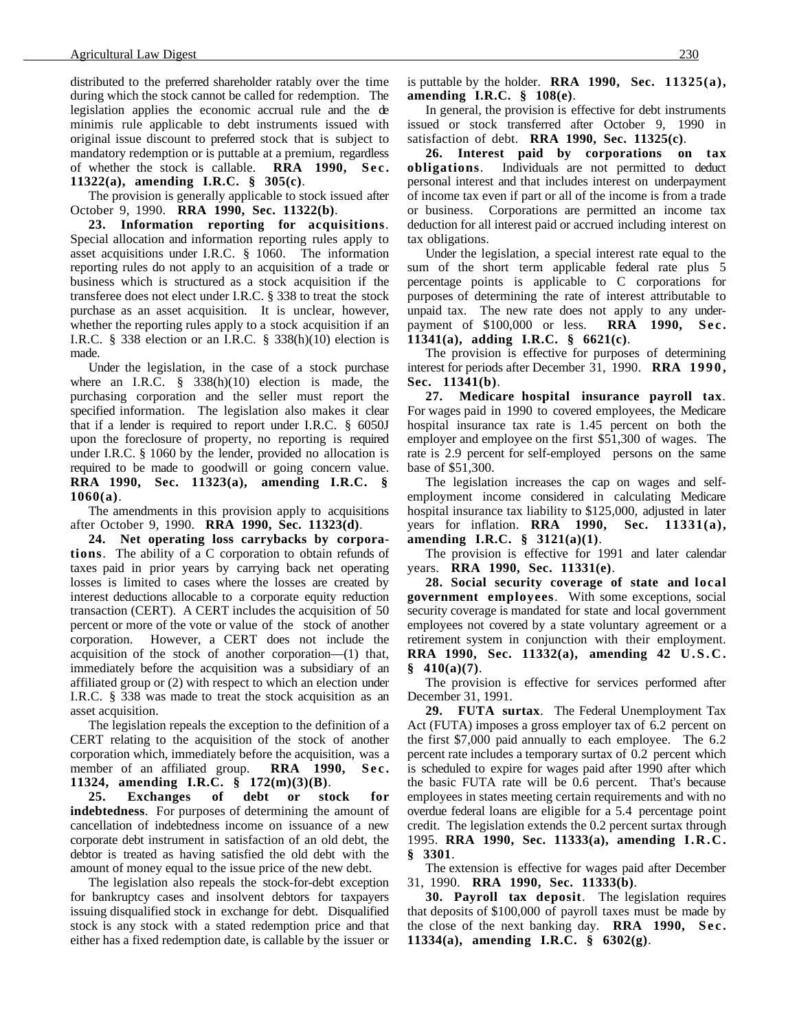distributed to the preferred shareholder ratably over the time during which the stock cannot be called for redemption. The legislation applies the economic accrual rule and the de minimis rule applicable to debt instruments issued with original issue discount to preferred stock that is subject to mandatory redemption or is puttable at a premium, regardless of whether the stock is callable. **RRA 1990, Sec. 11322(a), amending I.R.C. § 305(c)**.

The provision is generally applicable to stock issued after October 9, 1990. **RRA 1990, Sec. 11322(b)**.

**23. Information reporting for acquisitions**. Special allocation and information reporting rules apply to asset acquisitions under I.R.C. § 1060. The information reporting rules do not apply to an acquisition of a trade or business which is structured as a stock acquisition if the transferee does not elect under I.R.C. § 338 to treat the stock purchase as an asset acquisition. It is unclear, however, whether the reporting rules apply to a stock acquisition if an I.R.C. § 338 election or an I.R.C. § 338(h)(10) election is made.

Under the legislation, in the case of a stock purchase where an I.R.C. § 338(h)(10) election is made, the purchasing corporation and the seller must report the specified information. The legislation also makes it clear that if a lender is required to report under I.R.C. § 6050J upon the foreclosure of property, no reporting is required under I.R.C. § 1060 by the lender, provided no allocation is required to be made to goodwill or going concern value. **RRA 1990, Sec. 11323(a), amending I.R.C. § 1060(a)**.

The amendments in this provision apply to acquisitions after October 9, 1990. **RRA 1990, Sec. 11323(d)**.

**24. Net operating loss carrybacks by corporations**. The ability of a C corporation to obtain refunds of taxes paid in prior years by carrying back net operating losses is limited to cases where the losses are created by interest deductions allocable to a corporate equity reduction transaction (CERT). A CERT includes the acquisition of 50 percent or more of the vote or value of the stock of another corporation. However, a CERT does not include the acquisition of the stock of another corporation—(1) that, immediately before the acquisition was a subsidiary of an affiliated group or (2) with respect to which an election under I.R.C. § 338 was made to treat the stock acquisition as an asset acquisition.

The legislation repeals the exception to the definition of a CERT relating to the acquisition of the stock of another corporation which, immediately before the acquisition, was a member of an affiliated group. **RRA 1990, Sec. 11324, amending I.R.C. § 172(m)(3)(B)**.

**25. Exchanges of debt or stock for indebtedness**. For purposes of determining the amount of cancellation of indebtedness income on issuance of a new corporate debt instrument in satisfaction of an old debt, the debtor is treated as having satisfied the old debt with the amount of money equal to the issue price of the new debt.

The legislation also repeals the stock-for-debt exception for bankruptcy cases and insolvent debtors for taxpayers issuing disqualified stock in exchange for debt. Disqualified stock is any stock with a stated redemption price and that either has a fixed redemption date, is callable by the issuer or is puttable by the holder. **RRA 1990, Sec. 11325(a), amending I.R.C. § 108(e)**.

In general, the provision is effective for debt instruments issued or stock transferred after October 9, 1990 in satisfaction of debt. **RRA 1990, Sec. 11325(c)**.

**26. Interest paid by corporations on tax obligations**. Individuals are not permitted to deduct personal interest and that includes interest on underpayment of income tax even if part or all of the income is from a trade or business. Corporations are permitted an income tax deduction for all interest paid or accrued including interest on tax obligations.

Under the legislation, a special interest rate equal to the sum of the short term applicable federal rate plus 5 percentage points is applicable to C corporations for purposes of determining the rate of interest attributable to unpaid tax. The new rate does not apply to any underpayment of \$100,000 or less. **RRA 1990, Sec. 11341(a), adding I.R.C. § 6621(c)**.

The provision is effective for purposes of determining interest for periods after December 31, 1990. **RRA 1990, Sec. 11341(b)**.

**27. Medicare hospital insurance payroll tax**. For wages paid in 1990 to covered employees, the Medicare hospital insurance tax rate is 1.45 percent on both the employer and employee on the first \$51,300 of wages. The rate is 2.9 percent for self-employed persons on the same base of \$51,300.

The legislation increases the cap on wages and selfemployment income considered in calculating Medicare hospital insurance tax liability to \$125,000, adjusted in later years for inflation. **RRA 1990, Sec. 11331(a), amending I.R.C. § 3121(a)(1)**.

The provision is effective for 1991 and later calendar years. **RRA 1990, Sec. 11331(e)**.

**28. Social security coverage of state and local government employees**. With some exceptions, social security coverage is mandated for state and local government employees not covered by a state voluntary agreement or a retirement system in conjunction with their employment. **RRA 1990, Sec. 11332(a), amending 42 U.S.C. § 410(a)(7)**.

The provision is effective for services performed after December 31, 1991.

**29. FUTA surtax**. The Federal Unemployment Tax Act (FUTA) imposes a gross employer tax of 6.2 percent on the first \$7,000 paid annually to each employee. The 6.2 percent rate includes a temporary surtax of 0.2 percent which is scheduled to expire for wages paid after 1990 after which the basic FUTA rate will be 0.6 percent. That's because employees in states meeting certain requirements and with no overdue federal loans are eligible for a 5.4 percentage point credit. The legislation extends the 0.2 percent surtax through 1995. **RRA 1990, Sec. 11333(a), amending I.R.C. § 3301**.

The extension is effective for wages paid after December 31, 1990. **RRA 1990, Sec. 11333(b)**.

**30. Payroll tax deposit**. The legislation requires that deposits of \$100,000 of payroll taxes must be made by the close of the next banking day. **RRA 1990, Sec. 11334(a), amending I.R.C. § 6302(g)**.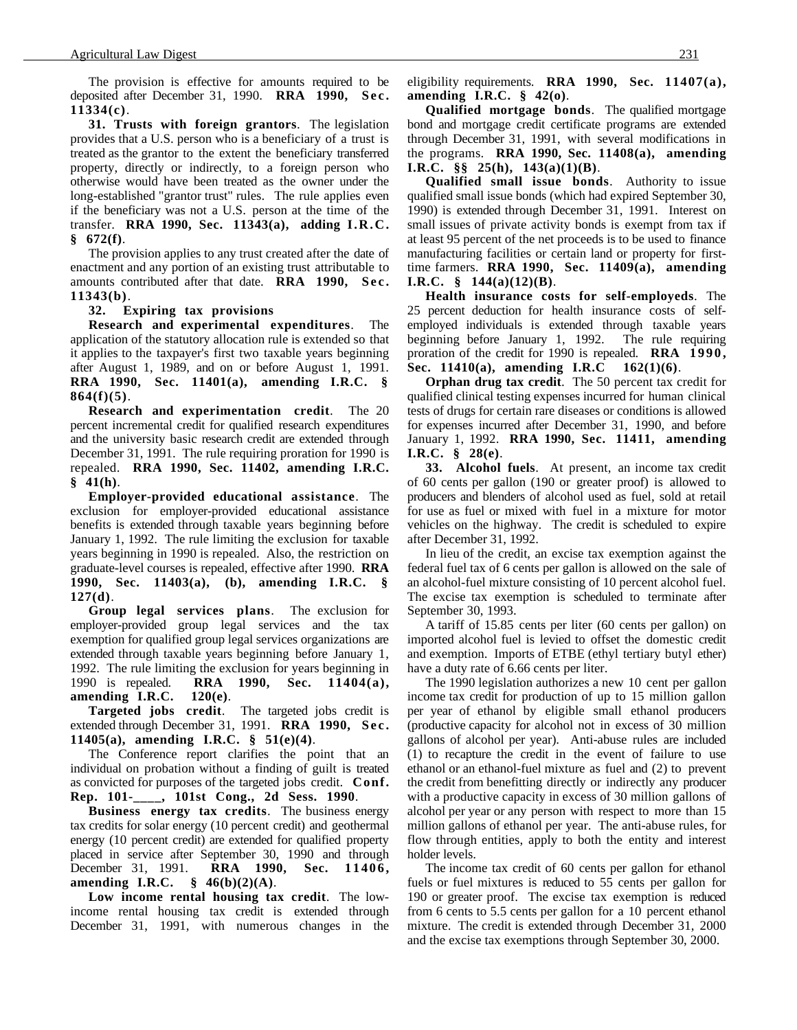The provision is effective for amounts required to be deposited after December 31, 1990. **RRA 1990, Sec. 11334(c)**.

**31. Trusts with foreign grantors**. The legislation provides that a U.S. person who is a beneficiary of a trust is treated as the grantor to the extent the beneficiary transferred property, directly or indirectly, to a foreign person who otherwise would have been treated as the owner under the long-established "grantor trust" rules. The rule applies even if the beneficiary was not a U.S. person at the time of the transfer. **RRA 1990, Sec. 11343(a), adding I.R.C. § 672(f)**.

The provision applies to any trust created after the date of enactment and any portion of an existing trust attributable to amounts contributed after that date. **RRA 1990, Sec. 11343(b)**.

**32. Expiring tax provisions**

**Research and experimental expenditures**. The application of the statutory allocation rule is extended so that it applies to the taxpayer's first two taxable years beginning after August 1, 1989, and on or before August 1, 1991. **RRA 1990, Sec. 11401(a), amending I.R.C. § 864(f)(5)**.

**Research and experimentation credit**. The 20 percent incremental credit for qualified research expenditures and the university basic research credit are extended through December 31, 1991. The rule requiring proration for 1990 is repealed. **RRA 1990, Sec. 11402, amending I.R.C. § 41(h)**.

**Employer-provided educational assistance**. The exclusion for employer-provided educational assistance benefits is extended through taxable years beginning before January 1, 1992. The rule limiting the exclusion for taxable years beginning in 1990 is repealed. Also, the restriction on graduate-level courses is repealed, effective after 1990. **RRA 1990, Sec. 11403(a), (b), amending I.R.C. § 127(d)**.

**Group legal services plans**. The exclusion for employer-provided group legal services and the tax exemption for qualified group legal services organizations are extended through taxable years beginning before January 1, 1992. The rule limiting the exclusion for years beginning in 1990 is repealed. **RRA 1990, Sec. 11404(a), amending I.R.C. 120(e)**.

**Targeted jobs credit**. The targeted jobs credit is extended through December 31, 1991. **RRA 1990, Sec. 11405(a), amending I.R.C. § 51(e)(4)**.

The Conference report clarifies the point that an individual on probation without a finding of guilt is treated as convicted for purposes of the targeted jobs credit. **Conf. Rep. 101-\_\_\_\_, 101st Cong., 2d Sess. 1990**.

**Business energy tax credits**. The business energy tax credits for solar energy (10 percent credit) and geothermal energy (10 percent credit) are extended for qualified property placed in service after September 30, 1990 and through December 31, 1991. **RRA 1990, Sec. 11406, amending I.R.C. § 46(b)(2)(A)**.

**Low income rental housing tax credit**. The lowincome rental housing tax credit is extended through December 31, 1991, with numerous changes in the eligibility requirements. **RRA 1990, Sec. 11407(a), amending I.R.C. § 42(o)**.

**Qualified mortgage bonds**. The qualified mortgage bond and mortgage credit certificate programs are extended through December 31, 1991, with several modifications in the programs. **RRA 1990, Sec. 11408(a), amending I.R.C. §§ 25(h), 143(a)(1)(B)**.

**Qualified small issue bonds**. Authority to issue qualified small issue bonds (which had expired September 30, 1990) is extended through December 31, 1991. Interest on small issues of private activity bonds is exempt from tax if at least 95 percent of the net proceeds is to be used to finance manufacturing facilities or certain land or property for firsttime farmers. **RRA 1990, Sec. 11409(a), amending I.R.C. § 144(a)(12)(B)**.

**Health insurance costs for self-employeds**. The 25 percent deduction for health insurance costs of selfemployed individuals is extended through taxable years beginning before January 1, 1992. The rule requiring proration of the credit for 1990 is repealed. **RRA 1990, Sec. 11410(a), amending I.R.C 162(1)(6)**.

**Orphan drug tax credit**. The 50 percent tax credit for qualified clinical testing expenses incurred for human clinical tests of drugs for certain rare diseases or conditions is allowed for expenses incurred after December 31, 1990, and before January 1, 1992. **RRA 1990, Sec. 11411, amending I.R.C. § 28(e)**.

**33. Alcohol fuels**. At present, an income tax credit of 60 cents per gallon (190 or greater proof) is allowed to producers and blenders of alcohol used as fuel, sold at retail for use as fuel or mixed with fuel in a mixture for motor vehicles on the highway. The credit is scheduled to expire after December 31, 1992.

In lieu of the credit, an excise tax exemption against the federal fuel tax of 6 cents per gallon is allowed on the sale of an alcohol-fuel mixture consisting of 10 percent alcohol fuel. The excise tax exemption is scheduled to terminate after September 30, 1993.

A tariff of 15.85 cents per liter (60 cents per gallon) on imported alcohol fuel is levied to offset the domestic credit and exemption. Imports of ETBE (ethyl tertiary butyl ether) have a duty rate of 6.66 cents per liter.

The 1990 legislation authorizes a new 10 cent per gallon income tax credit for production of up to 15 million gallon per year of ethanol by eligible small ethanol producers (productive capacity for alcohol not in excess of 30 million gallons of alcohol per year). Anti-abuse rules are included (1) to recapture the credit in the event of failure to use ethanol or an ethanol-fuel mixture as fuel and (2) to prevent the credit from benefitting directly or indirectly any producer with a productive capacity in excess of 30 million gallons of alcohol per year or any person with respect to more than 15 million gallons of ethanol per year. The anti-abuse rules, for flow through entities, apply to both the entity and interest holder levels.

The income tax credit of 60 cents per gallon for ethanol fuels or fuel mixtures is reduced to 55 cents per gallon for 190 or greater proof. The excise tax exemption is reduced from 6 cents to 5.5 cents per gallon for a 10 percent ethanol mixture. The credit is extended through December 31, 2000 and the excise tax exemptions through September 30, 2000.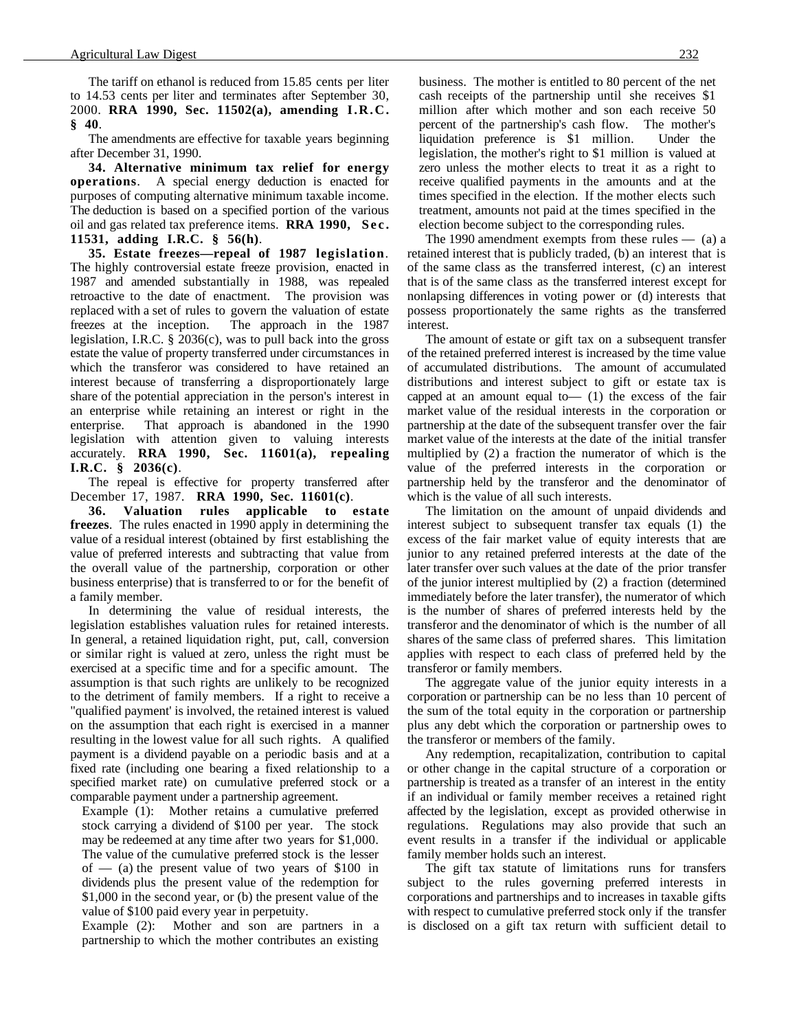The tariff on ethanol is reduced from 15.85 cents per liter to 14.53 cents per liter and terminates after September 30, 2000. **RRA 1990, Sec. 11502(a), amending I.R.C. § 40**.

The amendments are effective for taxable years beginning after December 31, 1990.

**34. Alternative minimum tax relief for energy operations**. A special energy deduction is enacted for purposes of computing alternative minimum taxable income. The deduction is based on a specified portion of the various oil and gas related tax preference items. **RRA 1990, Sec. 11531, adding I.R.C. § 56(h)**.

**35. Estate freezes—repeal of 1987 legislation**. The highly controversial estate freeze provision, enacted in 1987 and amended substantially in 1988, was repealed retroactive to the date of enactment. The provision was replaced with a set of rules to govern the valuation of estate freezes at the inception. The approach in the 1987 legislation, I.R.C. § 2036(c), was to pull back into the gross estate the value of property transferred under circumstances in which the transferor was considered to have retained an interest because of transferring a disproportionately large share of the potential appreciation in the person's interest in an enterprise while retaining an interest or right in the enterprise. That approach is abandoned in the 1990 legislation with attention given to valuing interests accurately. **RRA 1990, Sec. 11601(a), repealing I.R.C. § 2036(c)**.

The repeal is effective for property transferred after December 17, 1987. **RRA 1990, Sec. 11601(c)**.

**36. Valuation rules applicable to estate freezes**. The rules enacted in 1990 apply in determining the value of a residual interest (obtained by first establishing the value of preferred interests and subtracting that value from the overall value of the partnership, corporation or other business enterprise) that is transferred to or for the benefit of a family member.

In determining the value of residual interests, the legislation establishes valuation rules for retained interests. In general, a retained liquidation right, put, call, conversion or similar right is valued at zero, unless the right must be exercised at a specific time and for a specific amount. The assumption is that such rights are unlikely to be recognized to the detriment of family members. If a right to receive a "qualified payment' is involved, the retained interest is valued on the assumption that each right is exercised in a manner resulting in the lowest value for all such rights. A qualified payment is a dividend payable on a periodic basis and at a fixed rate (including one bearing a fixed relationship to a specified market rate) on cumulative preferred stock or a comparable payment under a partnership agreement.

Example (1): Mother retains a cumulative preferred stock carrying a dividend of \$100 per year. The stock may be redeemed at any time after two years for \$1,000. The value of the cumulative preferred stock is the lesser of  $-$  (a) the present value of two years of \$100 in dividends plus the present value of the redemption for \$1,000 in the second year, or (b) the present value of the value of \$100 paid every year in perpetuity.

Example (2): Mother and son are partners in a partnership to which the mother contributes an existing

business. The mother is entitled to 80 percent of the net cash receipts of the partnership until she receives \$1 million after which mother and son each receive 50 percent of the partnership's cash flow. The mother's liquidation preference is \$1 million. Under the legislation, the mother's right to \$1 million is valued at zero unless the mother elects to treat it as a right to receive qualified payments in the amounts and at the times specified in the election. If the mother elects such treatment, amounts not paid at the times specified in the election become subject to the corresponding rules.

The 1990 amendment exempts from these rules  $-$  (a) a retained interest that is publicly traded, (b) an interest that is of the same class as the transferred interest, (c) an interest that is of the same class as the transferred interest except for nonlapsing differences in voting power or (d) interests that possess proportionately the same rights as the transferred interest.

The amount of estate or gift tax on a subsequent transfer of the retained preferred interest is increased by the time value of accumulated distributions. The amount of accumulated distributions and interest subject to gift or estate tax is capped at an amount equal to  $-$  (1) the excess of the fair market value of the residual interests in the corporation or partnership at the date of the subsequent transfer over the fair market value of the interests at the date of the initial transfer multiplied by (2) a fraction the numerator of which is the value of the preferred interests in the corporation or partnership held by the transferor and the denominator of which is the value of all such interests.

The limitation on the amount of unpaid dividends and interest subject to subsequent transfer tax equals (1) the excess of the fair market value of equity interests that are junior to any retained preferred interests at the date of the later transfer over such values at the date of the prior transfer of the junior interest multiplied by (2) a fraction (determined immediately before the later transfer), the numerator of which is the number of shares of preferred interests held by the transferor and the denominator of which is the number of all shares of the same class of preferred shares. This limitation applies with respect to each class of preferred held by the transferor or family members.

The aggregate value of the junior equity interests in a corporation or partnership can be no less than 10 percent of the sum of the total equity in the corporation or partnership plus any debt which the corporation or partnership owes to the transferor or members of the family.

Any redemption, recapitalization, contribution to capital or other change in the capital structure of a corporation or partnership is treated as a transfer of an interest in the entity if an individual or family member receives a retained right affected by the legislation, except as provided otherwise in regulations. Regulations may also provide that such an event results in a transfer if the individual or applicable family member holds such an interest.

The gift tax statute of limitations runs for transfers subject to the rules governing preferred interests in corporations and partnerships and to increases in taxable gifts with respect to cumulative preferred stock only if the transfer is disclosed on a gift tax return with sufficient detail to